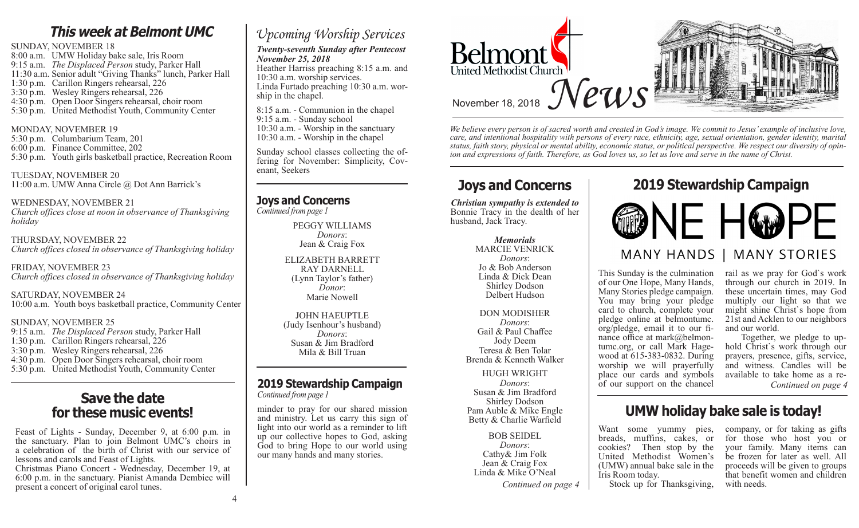# **This week at Belmont UMC**

SUNDAY, NOVEMBER 18 8:00 a.m. UMW Holiday bake sale, Iris Room 9:15 a.m. *The Displaced Person* study, Parker Hall 11:30 a.m. Senior adult "Giving Thanks" lunch, Parker Hall 1:30 p.m. Carillon Ringers rehearsal, 226 3:30 p.m. Wesley Ringers rehearsal, 226

- 4:30 p.m. Open Door Singers rehearsal, choir room
- 5:30 p.m. United Methodist Youth, Community Center

#### MONDAY, NOVEMBER 19

5:30 p.m. Columbarium Team, 201 6:00 p.m. Finance Committee, 202 5:30 p.m. Youth girls basketball practice, Recreation Room

#### TUESDAY, NOVEMBER 20 11:00 a.m. UMW Anna Circle @ Dot Ann Barrick's

WEDNESDAY, NOVEMBER 21 *Church offices close at noon in observance of Thanksgiving holiday*

THURSDAY, NOVEMBER 22 *Church offices closed in observance of Thanksgiving holiday*

FRIDAY, NOVEMBER 23 *Church offices closed in observance of Thanksgiving holiday*

SATURDAY, NOVEMBER 24 10:00 a.m. Youth boys basketball practice, Community Center

#### SUNDAY, NOVEMBER 25

9:15 a.m. *The Displaced Person* study, Parker Hall 1:30 p.m. Carillon Ringers rehearsal, 226 3:30 p.m. Wesley Ringers rehearsal, 226 4:30 p.m. Open Door Singers rehearsal, choir room 5:30 p.m. United Methodist Youth, Community Center

## **Save the date for these music events!**

Feast of Lights - Sunday, December 9, at 6:00 p.m. in the sanctuary. Plan to join Belmont UMC's choirs in a celebration of the birth of Christ with our service of lessons and carols and Feast of Lights.

Christmas Piano Concert - Wednesday, December 19, at 6:00 p.m. in the sanctuary. Pianist Amanda Dembiec will present a concert of original carol tunes.

# *Upcoming Worship Services*

*Twenty-seventh Sunday after Pentecost November 25, 2018*

Heather Harriss preaching 8:15 a.m. and 10:30 a.m. worship services. Linda Furtado preaching 10:30 a.m. worship in the chapel.

8:15 a.m. - Communion in the chapel 9:15 a.m. - Sunday school 10:30 a.m. - Worship in the sanctuary 10:30 a.m. - Worship in the chapel

Sunday school classes collecting the of- fering for November: Simplicity, Cov- enant, Seekers

### **Joys and Concerns**

*Continued from page 1*

PEGGY WILLIAMS *Donors*: Jean & Craig Fox

#### ELIZABETH BARRETT RAY DARNELL (Lynn Taylor's father) *Donor*: Marie Nowell

JOHN HAEUPTLE (Judy Isenhour's husband) *Donors*: Susan & Jim Bradford Mila & Bill Truan

## **2019 Stewardship Campaign**

*Continued from page 1*

minder to pray for our shared mission and ministry. Let us carry this sign of light into our world as a reminder to lift up our collective hopes to God, asking God to bring Hope to our world using our many hands and many stories.



*We believe every person is of sacred worth and created in God's image. We commit to Jesus' example of inclusive love, care, and intentional hospitality with persons of every race, ethnicity, age, sexual orientation, gender identity, marital status, faith story, physical or mental ability, economic status, or political perspective. We respect our diversity of opinion and expressions of faith. Therefore, as God loves us, so let us love and serve in the name of Christ.*

*Christian sympathy is extended to* Bonnie Tracy in the dealth of her husband, Jack Tracy.

### *Memorials*

MARCIE VENRICK *Donors*: Jo & Bob Anderson Linda & Dick Dean Shirley Dodson Delbert Hudson

#### DON MODISHER

*Donors*: Gail & Paul Chaffee Jody Deem Teresa & Ben Tolar Brenda & Kenneth Walker

HUGH WRIGHT *Donors*: Susan & Jim Bradford Shirley Dodson Pam Auble & Mike Engle Betty & Charlie Warfield

BOB SEIDEL *Donors*: Cathy& Jim Folk Jean & Craig Fox Linda & Mike O'Neal

Continued on page 4 Stock up for Thanksgiving, with needs.

# **Joys and Concerns 2019 Stewardship Campaign**



This Sunday is the culmination of our One Hope, Many Hands, Many Stories pledge campaign. You may bring your pledge card to church, complete your pledge online at belmontumc. org/pledge, email it to our finance office at mark@belmontumc.org, or call Mark Hagewood at 615-383-0832. During worship we will prayerfully place our cards and symbols of our support on the chancel

#### rail as we pray for God`s work through our church in 2019. In these uncertain times, may God multiply our light so that we might shine Christ`s hope from 21st and Acklen to our neighbors

and our world.<br>Together, we pledge to uphold Christ's work through our prayers, presence, gifts, service, and witness. Candles will be available to take home as a re-*Continued on page 4*

# **UMW holiday bake sale is today!**

breads, muffins, cakes, or cookies? Then stop by the United Methodist Women's (UMW) annual bake sale in the Iris Room today.

Want some yummy pies, company, or for taking as gifts for those who host you or your family. Many items can be frozen for later as well. All proceeds will be given to groups that benefit women and children<br>with needs.